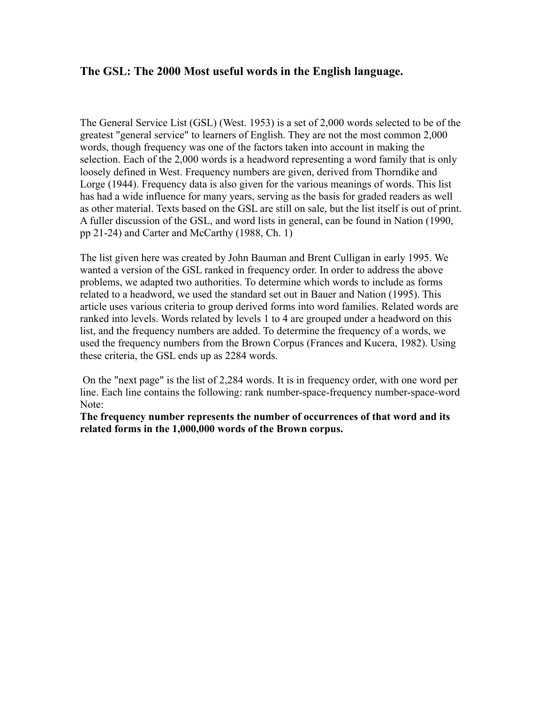## **The GSL: The 2000 Most useful words in the English language.**

The General Service List (GSL) (West. 1953) is a set of 2,000 words selected to be of the greatest "general service" to learners of English. They are not the most common 2,000 words, though frequency was one of the factors taken into account in making the selection. Each of the 2,000 words is a headword representing a word family that is only loosely defined in West. Frequency numbers are given, derived from Thorndike and Lorge (1944). Frequency data is also given for the various meanings of words. This list has had a wide influence for many years, serving as the basis for graded readers as well as other material. Texts based on the GSL are still on sale, but the list itself is out of print. A fuller discussion of the GSL, and word lists in general, can be found in Nation (1990, pp 21-24) and Carter and McCarthy (1988, Ch. 1)

The list given here was created by John Bauman and Brent Culligan in early 1995. We wanted a version of the GSL ranked in frequency order. In order to address the above problems, we adapted two authorities. To determine which words to include as forms related to a headword, we used the standard set out in Bauer and Nation (1995). This article uses various criteria to group derived forms into word families. Related words are ranked into levels. Words related by levels 1 to 4 are grouped under a headword on this list, and the frequency numbers are added. To determine the frequency of a words, we used the frequency numbers from the Brown Corpus (Frances and Kucera, 1982). Using these criteria, the GSL ends up as 2284 words.

 On the "next page" is the list of 2,284 words. It is in frequency order, with one word per line. Each line contains the following: rank number-space-frequency number-space-word Note:

**The frequency number represents the number of occurrences of that word and its related forms in the 1,000,000 words of the Brown corpus.**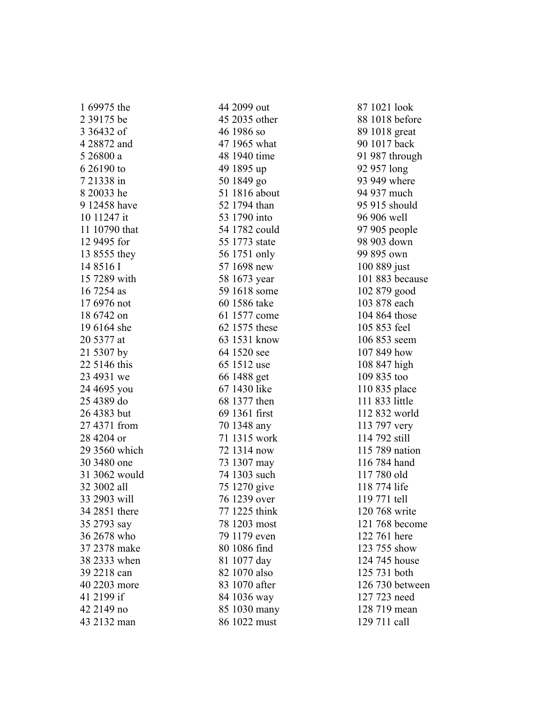| 1 09975 the   |
|---------------|
| 2 39175 be    |
| 3 36432 of    |
| 4 28872 and   |
| 5 26800 a     |
| 6 26190 to    |
| 7 21338 in    |
| 8 20033 he    |
| 9 12458 have  |
| 10 11247 it   |
| 11 10790 that |
| 12 9495 for   |
| 13 8555 they  |
| 14 8516 I     |
| 15 7289 with  |
| 16 7254 as    |
| 17 6976 not   |
| 18 6742 on    |
| 19 6164 she   |
| 20 5377 at    |
| 21 5307 by    |
| 22 5146 this  |
| 23 4931 we    |
| 24 4695 you   |
| 25 4389 do    |
| 26 4383 but   |
| 27 4371 from  |
| 28 4204 or    |
| 29 3560 which |
| 30 3480 one   |
| 31 3062 would |
| 32 3002 all   |
| 33 2903 will  |
| 34 2851 there |
| 35 2793 say   |
| 36 2678 who   |
| 37 2378 make  |
| 38 2333 when  |
| 39 2218 can   |
| 40 2203 more  |
| 41 2199 if    |
| 42 2149 no    |
| 43 2132 man   |

 $1.600754$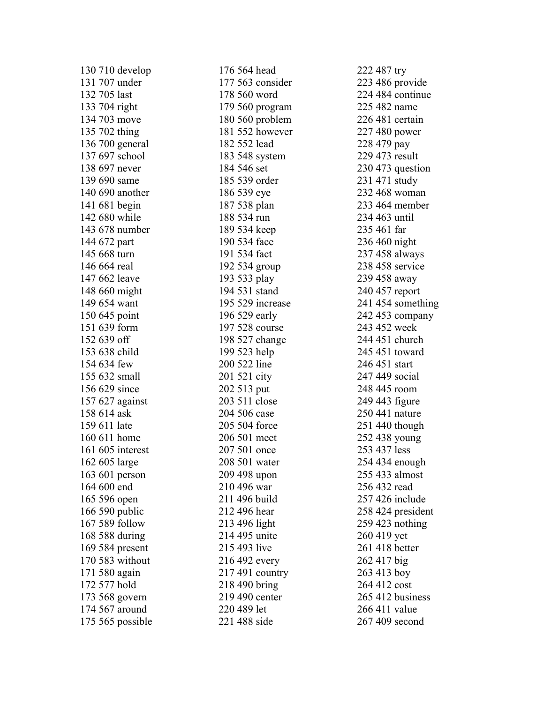| 130 710 develop  |
|------------------|
| 131 707 under    |
| 132 705 last     |
| 133 704 right    |
| 134 703 move     |
| 135 702 thing    |
| 136 700 general  |
| 137 697 school   |
| 138 697 never    |
| 139 690 same     |
| 140 690 another  |
| 141 681 begin    |
| 142 680 while    |
| 143 678 number   |
| 144 672 part     |
| 145 668 turn     |
| 146 664 real     |
| 147 662 leave    |
| 148 660 might    |
| 149 654 want     |
| 150 645 point    |
| 151 639 form     |
| 152 639 off      |
| 153 638 child    |
| 154 634 few      |
| 155 632 small    |
| 156 629 since    |
| 157 627 against  |
| 158 614 ask      |
| 159 611 late     |
| 160 611 home     |
| 161 605 interest |
| 162 605 large    |
| 163 601 person   |
| 164 600 end      |
| 165 596 open     |
| 166 590 public   |
| 167 589 follow   |
| 168 588 during   |
| 169 584 present  |
| 170 583 without  |
| 171 580 again    |
| 172 577 hold     |
| 173 568 govern   |
| 174 567 around   |
| 175 565 possible |